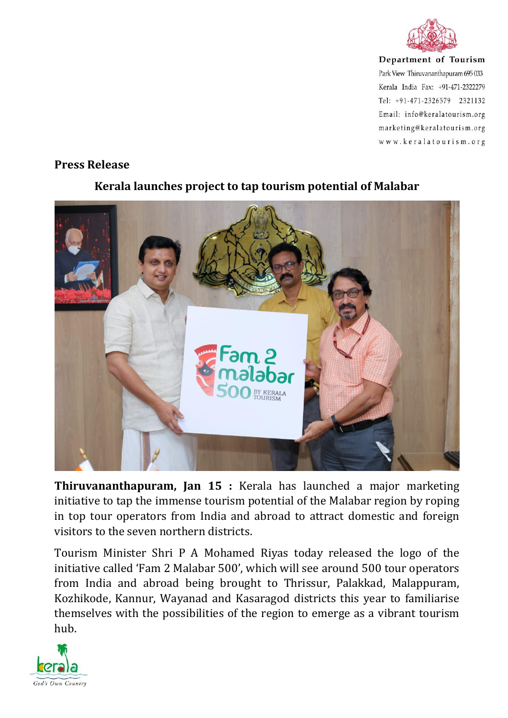

Department of Tourism Park View Thiruvananthapuram 695 033 Kerala India Fax: +91-471-2322279 Tel: +91-471-2326579 2321132 Email: info@keralatourism.org marketing@keralatourism.org www.keralatourism.org

## **Press Release**



## **Kerala launches project to tap tourism potential of Malabar**

**Thiruvananthapuram, Jan 15 :** Kerala has launched a major marketing initiative to tap the immense tourism potential of the Malabar region by roping in top tour operators from India and abroad to attract domestic and foreign visitors to the seven northern districts.

Tourism Minister Shri P A Mohamed Riyas today released the logo of the initiative called 'Fam 2 Malabar 500', which will see around 500 tour operators from India and abroad being brought to Thrissur, Palakkad, Malappuram, Kozhikode, Kannur, Wayanad and Kasaragod districts this year to familiarise themselves with the possibilities of the region to emerge as a vibrant tourism hub.

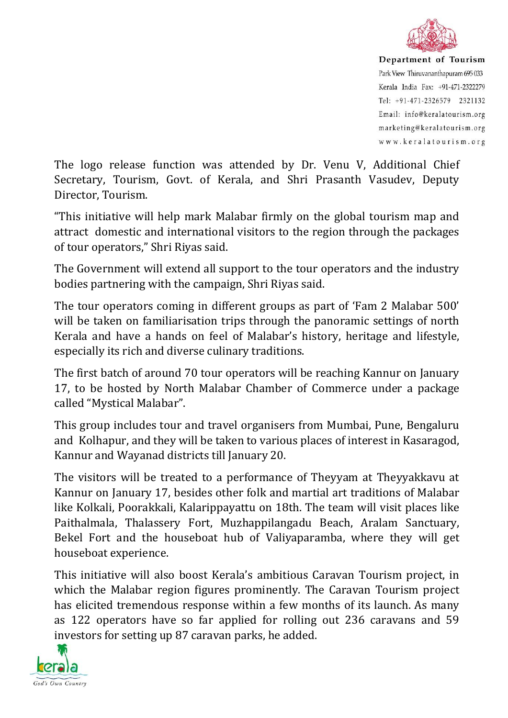

Department of Tourism Park View Thiruvananthapuram 695 033 Kerala India Fax: +91-471-2322279 Tel: +91-471-2326579 2321132 Email: info@keralatourism.org marketing@keralatourism.org www.keralatourism.org

The logo release function was attended by Dr. Venu V, Additional Chief Secretary, Tourism, Govt. of Kerala, and Shri Prasanth Vasudev, Deputy Director, Tourism.

"This initiative will help mark Malabar firmly on the global tourism map and attract domestic and international visitors to the region through the packages of tour operators," Shri Riyas said.

The Government will extend all support to the tour operators and the industry bodies partnering with the campaign, Shri Riyas said.

The tour operators coming in different groups as part of 'Fam 2 Malabar 500' will be taken on familiarisation trips through the panoramic settings of north Kerala and have a hands on feel of Malabar's history, heritage and lifestyle, especially its rich and diverse culinary traditions.

The first batch of around 70 tour operators will be reaching Kannur on January 17, to be hosted by North Malabar Chamber of Commerce under a package called "Mystical Malabar".

This group includes tour and travel organisers from Mumbai, Pune, Bengaluru and Kolhapur, and they will be taken to various places of interest in Kasaragod, Kannur and Wayanad districts till January 20.

The visitors will be treated to a performance of Theyyam at Theyyakkavu at Kannur on January 17, besides other folk and martial art traditions of Malabar like Kolkali, Poorakkali, Kalarippayattu on 18th. The team will visit places like Paithalmala, Thalassery Fort, Muzhappilangadu Beach, Aralam Sanctuary, Bekel Fort and the houseboat hub of Valiyaparamba, where they will get houseboat experience.

This initiative will also boost Kerala's ambitious Caravan Tourism project, in which the Malabar region figures prominently. The Caravan Tourism project has elicited tremendous response within a few months of its launch. As many as 122 operators have so far applied for rolling out 236 caravans and 59 investors for setting up 87 caravan parks, he added.